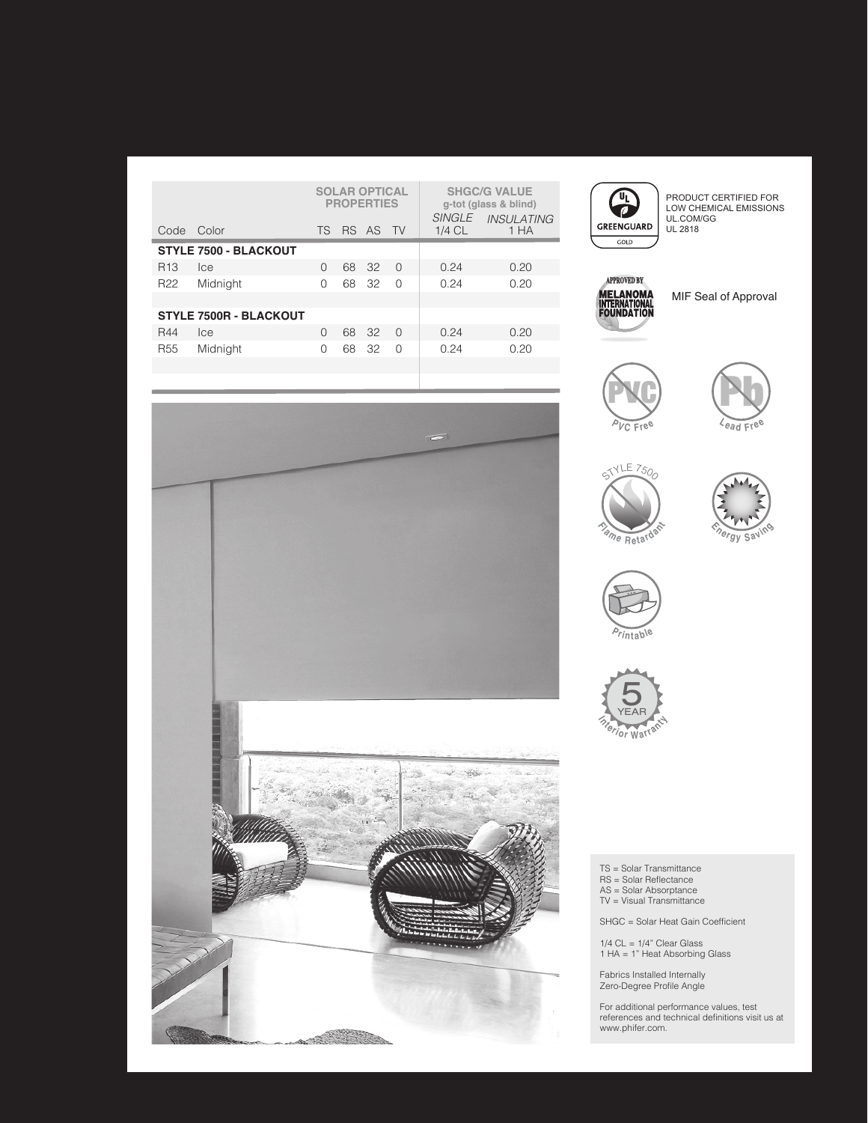|                               |            | <b>SOLAR OPTICAL</b><br><b>PROPERTIES</b> |    |          |        |          | <b>SHGC/G VALUE</b><br>g-tot (glass & blind) |
|-------------------------------|------------|-------------------------------------------|----|----------|--------|----------|----------------------------------------------|
|                               | Code Color | TS.                                       |    | RS AS TV |        | $1/4$ CL | SINGLE INSULATING<br>1 HA                    |
| <b>STYLE 7500 - BLACKOUT</b>  |            |                                           |    |          |        |          |                                              |
| R <sub>13</sub>               | <b>Ice</b> | O                                         | 68 | -32      | $\cap$ | 0.24     | 0.20                                         |
| R <sub>22</sub>               | Midnight   | $\cap$                                    | 68 | -32      | $\cap$ | 0.24     | 0.20                                         |
|                               |            |                                           |    |          |        |          |                                              |
| <b>STYLE 7500R - BLACKOUT</b> |            |                                           |    |          |        |          |                                              |
| R44                           | <b>Ice</b> | $\Omega$                                  | 68 | - 32     | $\cap$ | 0.24     | 0.20                                         |
| R <sub>55</sub>               | Midnight   | $\cap$                                    | 68 | -32      | $\cap$ | 0.24     | 0.20                                         |
|                               |            |                                           |    |          |        |          |                                              |



PRODUCT CERTIFIED FOR LOW CHEMICAL EMISSIONS UL.COM/GG UL 2818



MIF Seal of Approval













TS = Solar Transmittance RS = Solar Reflectance AS = Solar Absorptance TV = Visual Transmittance

SHGC = Solar Heat Gain Coefficient

1/4 CL = 1/4" Clear Glass 1 HA = 1" Heat Absorbing Glass

Fabrics Installed Internally Zero-Degree Profile Angle

For additional performance values, test references and technical definitions visit us at www.phifer.com.